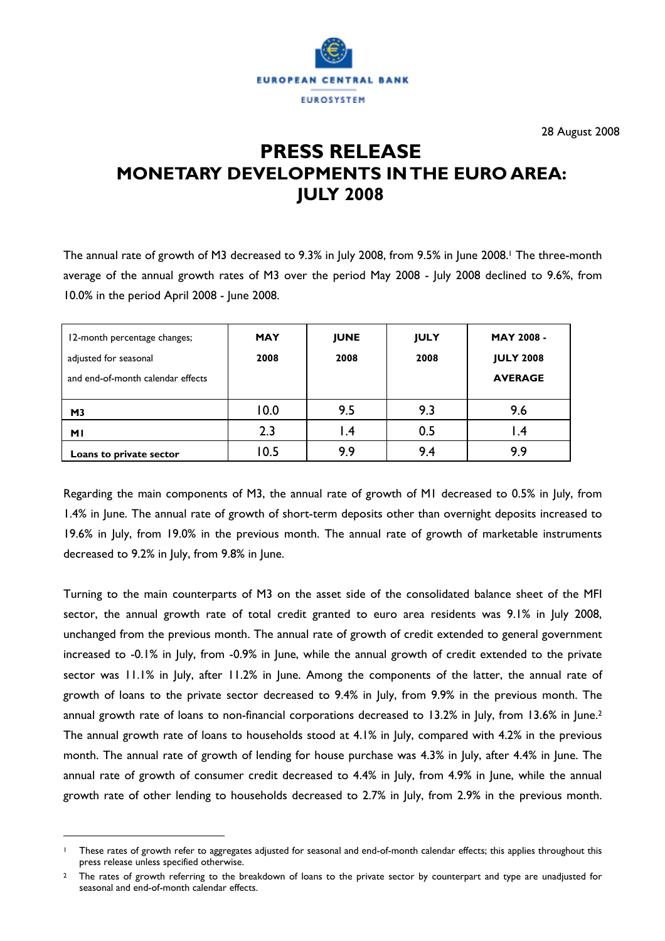

28 August 2008

# **PRESS RELEASE MONETARY DEVELOPMENTS IN THE EURO AREA: JULY 2008**

The annual rate of growth of M3 decreased to 9.3% in July 2008, from 9.5% in June 2008.<sup>1</sup> The three-month average of the annual growth rates of M3 over the period May 2008 - July 2008 declined to 9.6%, from 10.0% in the period April 2008 - June 2008.

| 12-month percentage changes;<br>adjusted for seasonal<br>and end-of-month calendar effects | <b>MAY</b><br>2008 | <b>JUNE</b><br>2008 | <b>JULY</b><br>2008 | <b>MAY 2008 -</b><br><b>JULY 2008</b><br><b>AVERAGE</b> |
|--------------------------------------------------------------------------------------------|--------------------|---------------------|---------------------|---------------------------------------------------------|
| M <sub>3</sub>                                                                             | 10.0               | 9.5                 | 9.3                 | 9.6                                                     |
| MΙ                                                                                         | 2.3                | 4. ا                | 0.5                 | l .4                                                    |
| Loans to private sector                                                                    | 10.5               | 9.9                 | 9.4                 | 9.9                                                     |

Regarding the main components of M3, the annual rate of growth of M1 decreased to 0.5% in July, from 1.4% in June. The annual rate of growth of short-term deposits other than overnight deposits increased to 19.6% in July, from 19.0% in the previous month. The annual rate of growth of marketable instruments decreased to 9.2% in July, from 9.8% in June.

Turning to the main counterparts of M3 on the asset side of the consolidated balance sheet of the MFI sector, the annual growth rate of total credit granted to euro area residents was 9.1% in July 2008, unchanged from the previous month. The annual rate of growth of credit extended to general government increased to -0.1% in July, from -0.9% in June, while the annual growth of credit extended to the private sector was 11.1% in July, after 11.2% in June. Among the components of the latter, the annual rate of growth of loans to the private sector decreased to 9.4% in July, from 9.9% in the previous month. The annual growth rate of loans to non-financial corporations decreased to 13.2% in July, from 13.6% in June.2 The annual growth rate of loans to households stood at 4.1% in July, compared with 4.2% in the previous month. The annual rate of growth of lending for house purchase was 4.3% in July, after 4.4% in June. The annual rate of growth of consumer credit decreased to 4.4% in July, from 4.9% in June, while the annual growth rate of other lending to households decreased to 2.7% in July, from 2.9% in the previous month.

 $\overline{a}$ 

These rates of growth refer to aggregates adjusted for seasonal and end-of-month calendar effects; this applies throughout this press release unless specified otherwise.

<sup>2</sup> The rates of growth referring to the breakdown of loans to the private sector by counterpart and type are unadjusted for seasonal and end-of-month calendar effects.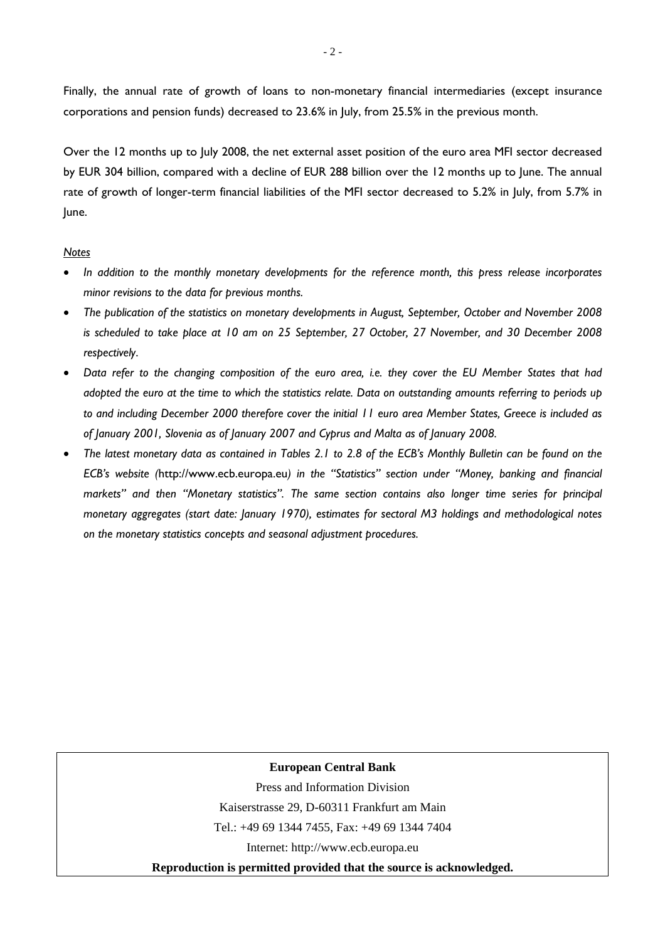Finally, the annual rate of growth of loans to non-monetary financial intermediaries (except insurance corporations and pension funds) decreased to 23.6% in July, from 25.5% in the previous month.

Over the 12 months up to July 2008, the net external asset position of the euro area MFI sector decreased by EUR 304 billion, compared with a decline of EUR 288 billion over the 12 months up to June. The annual rate of growth of longer-term financial liabilities of the MFI sector decreased to 5.2% in July, from 5.7% in June.

#### *Notes*

- *In addition to the monthly monetary developments for the reference month, this press release incorporates minor revisions to the data for previous months.*
- *The publication of the statistics on monetary developments in August, September, October and November 2008 is scheduled to take place at 10 am on 25 September, 27 October, 27 November, and 30 December 2008 respectively*.
- *Data refer to the changing composition of the euro area, i.e. they cover the EU Member States that had adopted the euro at the time to which the statistics relate. Data on outstanding amounts referring to periods up to and including December 2000 therefore cover the initial 11 euro area Member States, Greece is included as of January 2001, Slovenia as of January 2007 and Cyprus and Malta as of January 2008.*
- *The latest monetary data as contained in Tables 2.1 to 2.8 of the ECB's Monthly Bulletin can be found on the ECB's website (*http://www.ecb.europa.eu*) in the "Statistics" section under "Money, banking and financial markets" and then "Monetary statistics". The same section contains also longer time series for principal monetary aggregates (start date: January 1970), estimates for sectoral M3 holdings and methodological notes on the monetary statistics concepts and seasonal adjustment procedures.*

### **European Central Bank**

Press and Information Division

Kaiserstrasse 29, D-60311 Frankfurt am Main

Tel.: +49 69 1344 7455, Fax: +49 69 1344 7404

Internet: http://www.ecb.europa.eu

**Reproduction is permitted provided that the source is acknowledged.**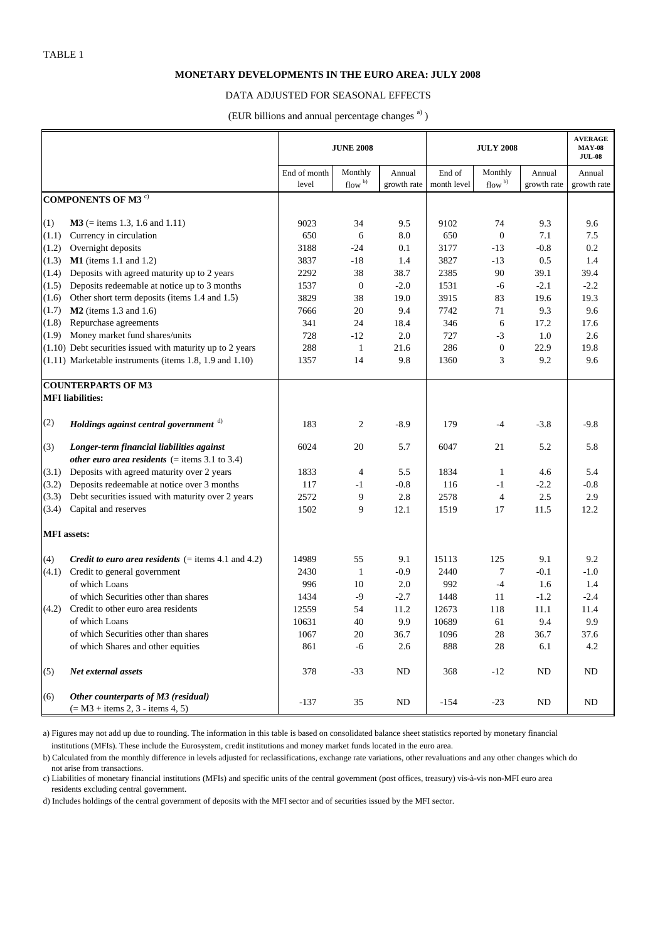#### **MONETARY DEVELOPMENTS IN THE EURO AREA: JULY 2008**

#### DATA ADJUSTED FOR SEASONAL EFFECTS

(EUR billions and annual percentage changes<sup>a)</sup>)

|                    |                                                                           | <b>JUNE 2008</b> |                   |             |             | <b>AVERAGE</b><br><b>MAY-08</b><br><b>JUL-08</b> |             |             |
|--------------------|---------------------------------------------------------------------------|------------------|-------------------|-------------|-------------|--------------------------------------------------|-------------|-------------|
|                    |                                                                           | End of month     | Monthly           | Annual      | End of      | Monthly                                          | Annual      | Annual      |
|                    |                                                                           | level            | flow <sup>b</sup> | growth rate | month level | flow $\frac{b}{b}$                               | growth rate | growth rate |
|                    | <b>COMPONENTS OF M3<sup>c)</sup></b>                                      |                  |                   |             |             |                                                  |             |             |
| (1)                | $M3$ (= items 1.3, 1.6 and 1.11)                                          | 9023             | 34                | 9.5         | 9102        | 74                                               | 9.3         | 9.6         |
| (1.1)              | Currency in circulation                                                   | 650              | 6                 | 8.0         | 650         | $\boldsymbol{0}$                                 | 7.1         | 7.5         |
| (1.2)              | Overnight deposits                                                        | 3188             | $-24$             | 0.1         | 3177        | $-13$                                            | $-0.8$      | 0.2         |
| (1.3)              | $M1$ (items 1.1 and 1.2)                                                  | 3837             | $-18$             | 1.4         | 3827        | $-13$                                            | 0.5         | 1.4         |
| (1.4)              | Deposits with agreed maturity up to 2 years                               | 2292             | 38                | 38.7        | 2385        | 90                                               | 39.1        | 39.4        |
| (1.5)              | Deposits redeemable at notice up to 3 months                              | 1537             | $\mathbf{0}$      | $-2.0$      | 1531        | -6                                               | $-2.1$      | $-2.2$      |
| (1.6)              | Other short term deposits (items 1.4 and 1.5)                             | 3829             | 38                | 19.0        | 3915        | 83                                               | 19.6        | 19.3        |
| (1.7)              | $M2$ (items 1.3 and 1.6)                                                  | 7666             | 20                | 9.4         | 7742        | 71                                               | 9.3         | 9.6         |
| (1.8)              | Repurchase agreements                                                     | 341              | 24                | 18.4        | 346         | 6                                                | 17.2        | 17.6        |
| (1.9)              | Money market fund shares/units                                            | 728              | $-12$             | 2.0         | 727         | $-3$                                             | 1.0         | 2.6         |
|                    | $(1.10)$ Debt securities issued with maturity up to 2 years               | 288              | $\mathbf{1}$      | 21.6        | 286         | $\boldsymbol{0}$                                 | 22.9        | 19.8        |
|                    | $(1.11)$ Marketable instruments (items 1.8, 1.9 and 1.10)                 | 1357             | 14                | 9.8         | 1360        | 3                                                | 9.2         | 9.6         |
|                    | <b>COUNTERPARTS OF M3</b>                                                 |                  |                   |             |             |                                                  |             |             |
|                    | <b>MFI</b> liabilities:                                                   |                  |                   |             |             |                                                  |             |             |
|                    |                                                                           |                  |                   |             |             |                                                  |             |             |
| (2)                | Holdings against central government $\phi$                                | 183              | 2                 | $-8.9$      | 179         | $-4$                                             | $-3.8$      | $-9.8$      |
| (3)                | Longer-term financial liabilities against                                 | 6024             | 20                | 5.7         | 6047        | 21                                               | 5.2         | 5.8         |
|                    | other euro area residents $($ = items 3.1 to 3.4)                         |                  |                   |             |             |                                                  |             |             |
| (3.1)              | Deposits with agreed maturity over 2 years                                | 1833             | $\overline{4}$    | 5.5         | 1834        | -1                                               | 4.6         | 5.4         |
| (3.2)              | Deposits redeemable at notice over 3 months                               | 117              | $-1$              | $-0.8$      | 116         | $-1$                                             | $-2.2$      | $-0.8$      |
| (3.3)              | Debt securities issued with maturity over 2 years                         | 2572             | 9                 | 2.8         | 2578        | $\overline{4}$                                   | 2.5         | 2.9         |
| (3.4)              | Capital and reserves                                                      | 1502             | 9                 | 12.1        | 1519        | 17                                               | 11.5        | 12.2        |
| <b>MFI</b> assets: |                                                                           |                  |                   |             |             |                                                  |             |             |
| (4)                | <i>Credit to euro area residents</i> $($ = items 4.1 and 4.2)             | 14989            | 55                | 9.1         | 15113       | 125                                              | 9.1         | 9.2         |
| (4.1)              | Credit to general government                                              | 2430             | $\mathbf{1}$      | $-0.9$      | 2440        | 7                                                | $-0.1$      | $-1.0$      |
|                    | of which Loans                                                            | 996              | 10                | 2.0         | 992         | $-4$                                             | 1.6         | 1.4         |
|                    | of which Securities other than shares                                     | 1434             | $-9$              | $-2.7$      | 1448        | 11                                               | $-1.2$      | $-2.4$      |
| (4.2)              | Credit to other euro area residents                                       | 12559            | 54                | 11.2        | 12673       | 118                                              | 11.1        | 11.4        |
|                    | of which Loans                                                            | 10631            | 40                | 9.9         | 10689       | 61                                               | 9.4         | 9.9         |
|                    | of which Securities other than shares                                     | 1067             | $20\,$            | 36.7        | 1096        | $28\,$                                           | 36.7        | 37.6        |
|                    | of which Shares and other equities                                        | 861              | $-6$              | $2.6\,$     | 888         | $28\,$                                           | 6.1         | 4.2         |
| (5)                | Net external assets                                                       | 378              | $-33$             | ND          | 368         | $-12$                                            | ND          | ND          |
| (6)                | Other counterparts of M3 (residual)<br>$(= M3 + items 2, 3 - items 4, 5)$ | $-137$           | 35                | ND          | $-154$      | $-23$                                            | ND          | ND          |

a) Figures may not add up due to rounding. The information in this table is based on consolidated balance sheet statistics reported by monetary financial institutions (MFIs). These include the Eurosystem, credit institutions and money market funds located in the euro area.

b) Calculated from the monthly difference in levels adjusted for reclassifications, exchange rate variations, other revaluations and any other changes which do not arise from transactions.

c) Liabilities of monetary financial institutions (MFIs) and specific units of the central government (post offices, treasury) vis-à-vis non-MFI euro area residents excluding central government.

d) Includes holdings of the central government of deposits with the MFI sector and of securities issued by the MFI sector.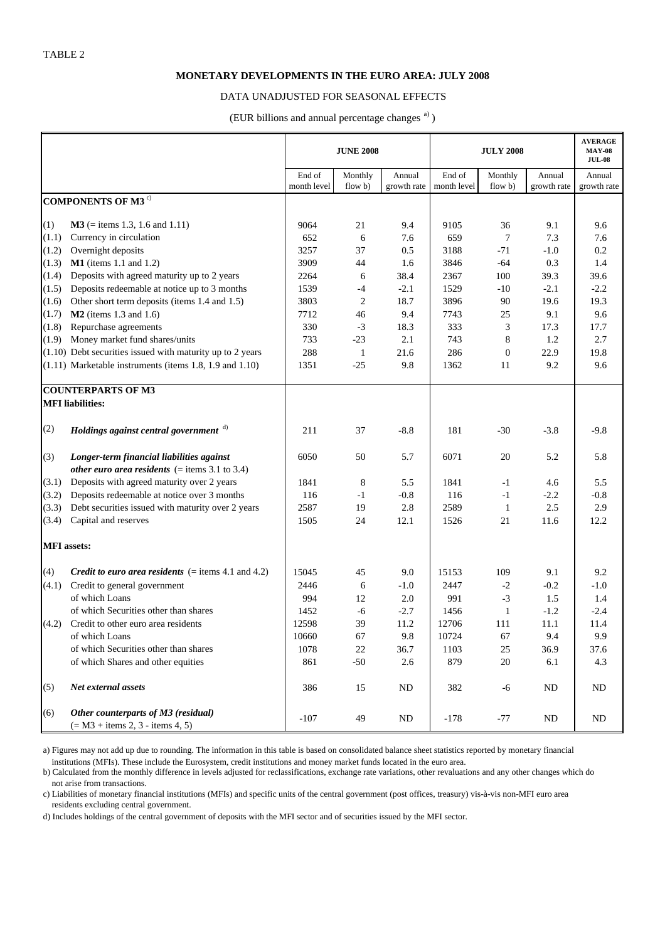#### **MONETARY DEVELOPMENTS IN THE EURO AREA: JULY 2008**

#### DATA UNADJUSTED FOR SEASONAL EFFECTS

(EUR billions and annual percentage changes<sup>a)</sup>)

|                    |                                                                           | <b>JUNE 2008</b> |                |             | <b>JULY 2008</b> | <b>AVERAGE</b><br><b>MAY-08</b><br><b>JUL-08</b> |             |             |
|--------------------|---------------------------------------------------------------------------|------------------|----------------|-------------|------------------|--------------------------------------------------|-------------|-------------|
|                    |                                                                           | End of           | Monthly        | Annual      | End of           | Monthly                                          | Annual      | Annual      |
|                    |                                                                           | month level      | flow b)        | growth rate | month level      | flow b)                                          | growth rate | growth rate |
|                    | <b>COMPONENTS OF M3<sup>c)</sup></b>                                      |                  |                |             |                  |                                                  |             |             |
| (1)                | $M3$ (= items 1.3, 1.6 and 1.11)                                          | 9064             | 21             | 9.4         | 9105             | 36                                               | 9.1         | 9.6         |
| (1.1)              | Currency in circulation                                                   | 652              | 6              | 7.6         | 659              | 7                                                | 7.3         | 7.6         |
| (1.2)              | Overnight deposits                                                        | 3257             | 37             | 0.5         | 3188             | $-71$                                            | $-1.0$      | 0.2         |
| (1.3)              | $M1$ (items 1.1 and 1.2)                                                  | 3909             | 44             | 1.6         | 3846             | $-64$                                            | 0.3         | 1.4         |
| (1.4)              | Deposits with agreed maturity up to 2 years                               | 2264             | 6              | 38.4        | 2367             | 100                                              | 39.3        | 39.6        |
| (1.5)              | Deposits redeemable at notice up to 3 months                              | 1539             | $-4$           | $-2.1$      | 1529             | $-10$                                            | $-2.1$      | $-2.2$      |
| (1.6)              | Other short term deposits (items 1.4 and 1.5)                             | 3803             | $\mathfrak{2}$ | 18.7        | 3896             | 90                                               | 19.6        | 19.3        |
| (1.7)              | $M2$ (items 1.3 and 1.6)                                                  | 7712             | 46             | 9.4         | 7743             | 25                                               | 9.1         | 9.6         |
| (1.8)              | Repurchase agreements                                                     | 330              | $-3$           | 18.3        | 333              | 3                                                | 17.3        | 17.7        |
| (1.9)              | Money market fund shares/units                                            | 733              | $-23$          | 2.1         | 743              | 8                                                | 1.2         | 2.7         |
|                    | $(1.10)$ Debt securities issued with maturity up to 2 years               | 288              | $\mathbf{1}$   | 21.6        | 286              | $\theta$                                         | 22.9        | 19.8        |
|                    | $(1.11)$ Marketable instruments (items 1.8, 1.9 and 1.10)                 | 1351             | $-25$          | 9.8         | 1362             | 11                                               | 9.2         | 9.6         |
|                    |                                                                           |                  |                |             |                  |                                                  |             |             |
|                    | <b>COUNTERPARTS OF M3</b>                                                 |                  |                |             |                  |                                                  |             |             |
|                    | <b>MFI</b> liabilities:                                                   |                  |                |             |                  |                                                  |             |             |
| (2)                | Holdings against central government d)                                    | 211              | 37             | $-8.8$      | 181              | $-30$                                            | $-3.8$      | $-9.8$      |
| (3)                | Longer-term financial liabilities against                                 | 6050             | 50             | 5.7         | 6071             | 20                                               | 5.2         | 5.8         |
|                    | <i>other euro area residents</i> (= items $3.1$ to $3.4$ )                |                  |                |             |                  |                                                  |             |             |
| (3.1)              | Deposits with agreed maturity over 2 years                                | 1841             | 8              | 5.5         | 1841             | $-1$                                             | 4.6         | 5.5         |
| (3.2)              | Deposits redeemable at notice over 3 months                               | 116              | $-1$           | $-0.8$      | 116              | $-1$                                             | $-2.2$      | $-0.8$      |
| (3.3)              | Debt securities issued with maturity over 2 years                         | 2587             | 19             | 2.8         | 2589             | $\mathbf{1}$                                     | 2.5         | 2.9         |
| (3.4)              | Capital and reserves                                                      | 1505             | 24             | 12.1        | 1526             | 21                                               | 11.6        | 12.2        |
| <b>MFI</b> assets: |                                                                           |                  |                |             |                  |                                                  |             |             |
| (4)                | <i>Credit to euro area residents</i> $(=$ items 4.1 and 4.2)              | 15045            | 45             | 9.0         | 15153            | 109                                              | 9.1         | 9.2         |
| (4.1)              | Credit to general government                                              | 2446             | 6              | $-1.0$      | 2447             | $-2$                                             | $-0.2$      | $-1.0$      |
|                    | of which Loans                                                            | 994              | 12             | 2.0         | 991              | $-3$                                             | 1.5         | 1.4         |
|                    | of which Securities other than shares                                     | 1452             | -6             | $-2.7$      | 1456             | 1                                                | $-1.2$      | $-2.4$      |
| (4.2)              | Credit to other euro area residents                                       | 12598            | 39             | 11.2        | 12706            | 111                                              | 11.1        | 11.4        |
|                    | of which Loans                                                            | 10660            | 67             | 9.8         | 10724            | 67                                               | 9.4         | 9.9         |
|                    | of which Securities other than shares                                     | 1078             | 22             | 36.7        | 1103             | 25                                               | 36.9        | 37.6        |
|                    | of which Shares and other equities                                        | 861              | $-50$          | 2.6         | 879              | $20\,$                                           | 6.1         | 4.3         |
|                    |                                                                           |                  |                |             |                  |                                                  |             |             |
| (5)                | Net external assets                                                       | 386              | 15             | ND          | 382              | -6                                               | ND          | ND          |
| (6)                | Other counterparts of M3 (residual)<br>$(= M3 + items 2, 3 - items 4, 5)$ | $-107$           | 49             | ND          | $-178$           | $-77$                                            | ND          | ND          |

a) Figures may not add up due to rounding. The information in this table is based on consolidated balance sheet statistics reported by monetary financial institutions (MFIs). These include the Eurosystem, credit institutions and money market funds located in the euro area.

b) Calculated from the monthly difference in levels adjusted for reclassifications, exchange rate variations, other revaluations and any other changes which do not arise from transactions.

c) Liabilities of monetary financial institutions (MFIs) and specific units of the central government (post offices, treasury) vis-à-vis non-MFI euro area residents excluding central government.

d) Includes holdings of the central government of deposits with the MFI sector and of securities issued by the MFI sector.